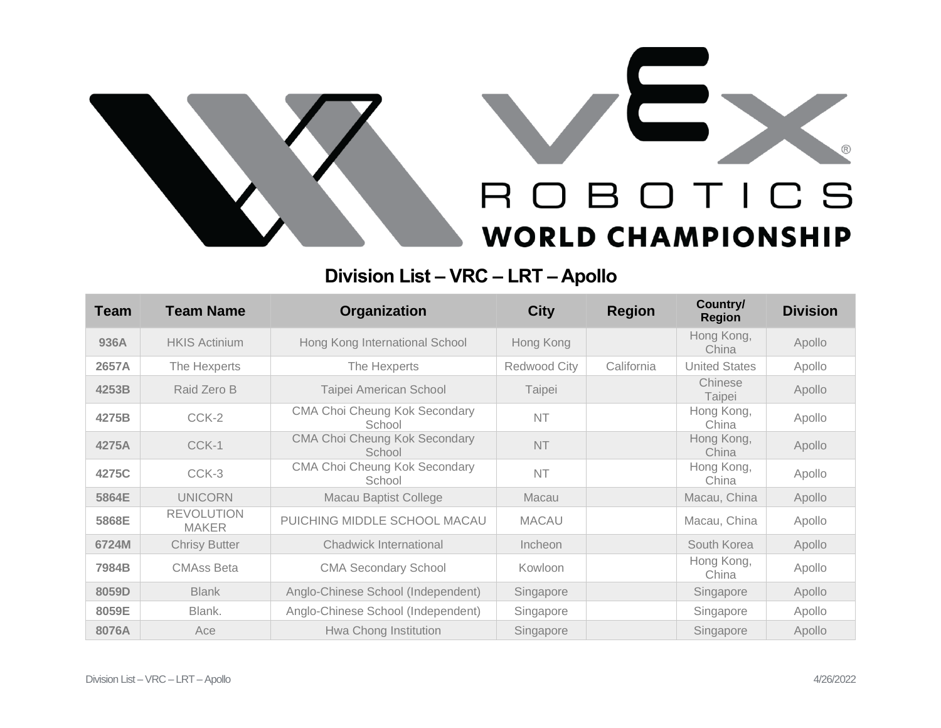

## **Division List – VRC – LRT – Apollo**

| <b>Team</b> | <b>Team Name</b>                  | Organization                                   | <b>City</b>  | <b>Region</b> | Country/<br><b>Region</b> | <b>Division</b> |
|-------------|-----------------------------------|------------------------------------------------|--------------|---------------|---------------------------|-----------------|
| 936A        | <b>HKIS Actinium</b>              | Hong Kong International School                 | Hong Kong    |               | Hong Kong,<br>China       | Apollo          |
| 2657A       | The Hexperts                      | The Hexperts                                   | Redwood City | California    | <b>United States</b>      | Apollo          |
| 4253B       | Raid Zero B                       | Taipei American School                         | Taipei       |               | Chinese<br>Taipei         | Apollo          |
| 4275B       | CCK-2                             | <b>CMA Choi Cheung Kok Secondary</b><br>School | <b>NT</b>    |               | Hong Kong,<br>China       | Apollo          |
| 4275A       | CCK-1                             | <b>CMA Choi Cheung Kok Secondary</b><br>School | <b>NT</b>    |               | Hong Kong,<br>China       | Apollo          |
| 4275C       | CCK-3                             | <b>CMA Choi Cheung Kok Secondary</b><br>School | <b>NT</b>    |               | Hong Kong,<br>China       | Apollo          |
| 5864E       | <b>UNICORN</b>                    | <b>Macau Baptist College</b>                   | Macau        |               | Macau, China              | Apollo          |
| 5868E       | <b>REVOLUTION</b><br><b>MAKER</b> | PUICHING MIDDLE SCHOOL MACAU                   | <b>MACAU</b> |               | Macau, China              | Apollo          |
| 6724M       | <b>Chrisy Butter</b>              | <b>Chadwick International</b>                  | Incheon      |               | South Korea               | Apollo          |
| 7984B       | <b>CMAss Beta</b>                 | <b>CMA Secondary School</b>                    | Kowloon      |               | Hong Kong,<br>China       | Apollo          |
| 8059D       | <b>Blank</b>                      | Anglo-Chinese School (Independent)             | Singapore    |               | Singapore                 | Apollo          |
| 8059E       | Blank.                            | Anglo-Chinese School (Independent)             | Singapore    |               | Singapore                 | Apollo          |
| 8076A       | Ace                               | Hwa Chong Institution                          | Singapore    |               | Singapore                 | Apollo          |